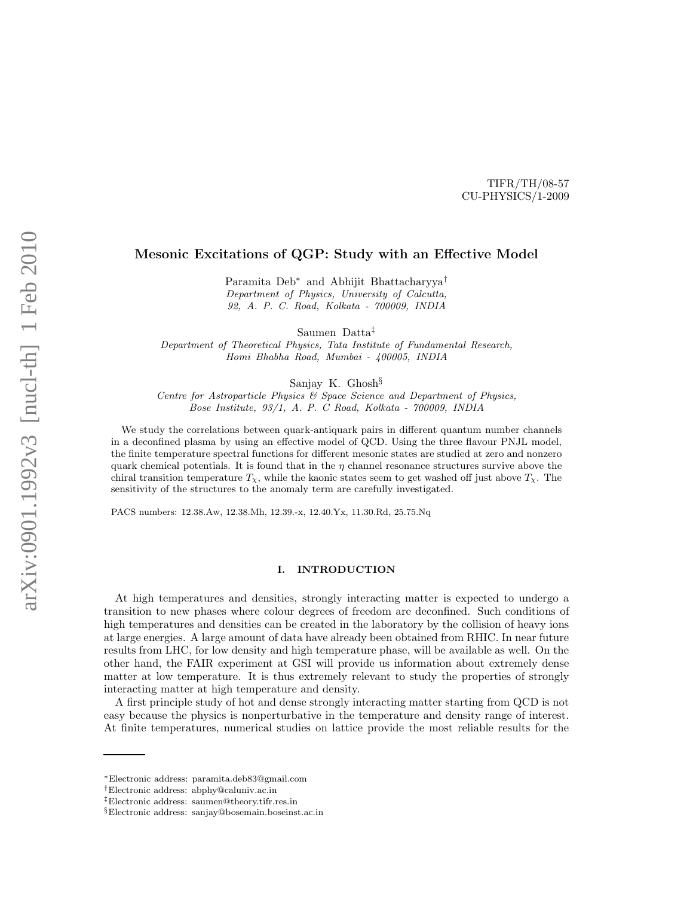TIFR/TH/08-57 CU-PHYSICS/1-2009

# Mesonic Excitations of QGP: Study with an Effective Model

Paramita Deb<sup>∗</sup> and Abhijit Bhattacharyya† Department of Physics, University of Calcutta, 92, A. P. C. Road, Kolkata - 700009, INDIA

Saumen Datta‡

Department of Theoretical Physics, Tata Institute of Fundamental Research, Homi Bhabha Road, Mumbai - 400005, INDIA

Sanjay K. Ghosh§

Centre for Astroparticle Physics & Space Science and Department of Physics, Bose Institute, 93/1, A. P. C Road, Kolkata - 700009, INDIA

We study the correlations between quark-antiquark pairs in different quantum number channels in a deconfined plasma by using an effective model of QCD. Using the three flavour PNJL model, the finite temperature spectral functions for different mesonic states are studied at zero and nonzero quark chemical potentials. It is found that in the  $\eta$  channel resonance structures survive above the chiral transition temperature  $T_{\chi}$ , while the kaonic states seem to get washed off just above  $T_{\chi}$ . The sensitivity of the structures to the anomaly term are carefully investigated.

PACS numbers: 12.38.Aw, 12.38.Mh, 12.39.-x, 12.40.Yx, 11.30.Rd, 25.75.Nq

# I. INTRODUCTION

At high temperatures and densities, strongly interacting matter is expected to undergo a transition to new phases where colour degrees of freedom are deconfined. Such conditions of high temperatures and densities can be created in the laboratory by the collision of heavy ions at large energies. A large amount of data have already been obtained from RHIC. In near future results from LHC, for low density and high temperature phase, will be available as well. On the other hand, the FAIR experiment at GSI will provide us information about extremely dense matter at low temperature. It is thus extremely relevant to study the properties of strongly interacting matter at high temperature and density.

A first principle study of hot and dense strongly interacting matter starting from QCD is not easy because the physics is nonperturbative in the temperature and density range of interest. At finite temperatures, numerical studies on lattice provide the most reliable results for the

<sup>∗</sup>Electronic address: paramita.deb83@gmail.com

<sup>†</sup>Electronic address: abphy@caluniv.ac.in

<sup>‡</sup>Electronic address: saumen@theory.tifr.res.in

<sup>§</sup>Electronic address: sanjay@bosemain.boseinst.ac.in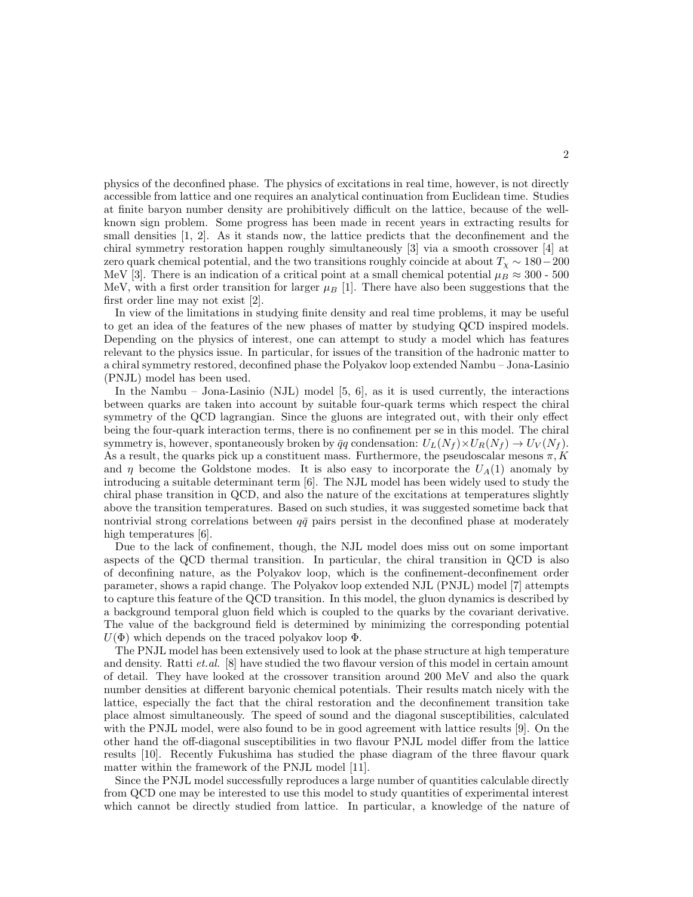physics of the deconfined phase. The physics of excitations in real time, however, is not directly accessible from lattice and one requires an analytical continuation from Euclidean time. Studies at finite baryon number density are prohibitively difficult on the lattice, because of the wellknown sign problem. Some progress has been made in recent years in extracting results for small densities [1, 2]. As it stands now, the lattice predicts that the deconfinement and the chiral symmetry restoration happen roughly simultaneously [3] via a smooth crossover [4] at zero quark chemical potential, and the two transitions roughly coincide at about  $T_x \sim 180-200$ MeV [3]. There is an indication of a critical point at a small chemical potential  $\mu_B \approx 300$  - 500 MeV, with a first order transition for larger  $\mu_B$  [1]. There have also been suggestions that the first order line may not exist [2].

In view of the limitations in studying finite density and real time problems, it may be useful to get an idea of the features of the new phases of matter by studying QCD inspired models. Depending on the physics of interest, one can attempt to study a model which has features relevant to the physics issue. In particular, for issues of the transition of the hadronic matter to a chiral symmetry restored, deconfined phase the Polyakov loop extended Nambu – Jona-Lasinio (PNJL) model has been used.

In the Nambu – Jona-Lasinio (NJL) model  $[5, 6]$ , as it is used currently, the interactions between quarks are taken into account by suitable four-quark terms which respect the chiral symmetry of the QCD lagrangian. Since the gluons are integrated out, with their only effect being the four-quark interaction terms, there is no confinement per se in this model. The chiral symmetry is, however, spontaneously broken by  $\bar{q}q$  condensation:  $U_L(N_f) \times U_R(N_f) \to U_V(N_f)$ . As a result, the quarks pick up a constituent mass. Furthermore, the pseudoscalar mesons  $\pi, K$ and  $\eta$  become the Goldstone modes. It is also easy to incorporate the  $U_A(1)$  anomaly by introducing a suitable determinant term [6]. The NJL model has been widely used to study the chiral phase transition in QCD, and also the nature of the excitations at temperatures slightly above the transition temperatures. Based on such studies, it was suggested sometime back that nontrivial strong correlations between  $q\bar{q}$  pairs persist in the deconfined phase at moderately high temperatures [6].

Due to the lack of confinement, though, the NJL model does miss out on some important aspects of the QCD thermal transition. In particular, the chiral transition in QCD is also of deconfining nature, as the Polyakov loop, which is the confinement-deconfinement order parameter, shows a rapid change. The Polyakov loop extended NJL (PNJL) model [7] attempts to capture this feature of the QCD transition. In this model, the gluon dynamics is described by a background temporal gluon field which is coupled to the quarks by the covariant derivative. The value of the background field is determined by minimizing the corresponding potential  $U(\Phi)$  which depends on the traced polyakov loop  $\Phi$ .

The PNJL model has been extensively used to look at the phase structure at high temperature and density. Ratti *et.al.* [8] have studied the two flavour version of this model in certain amount of detail. They have looked at the crossover transition around 200 MeV and also the quark number densities at different baryonic chemical potentials. Their results match nicely with the lattice, especially the fact that the chiral restoration and the deconfinement transition take place almost simultaneously. The speed of sound and the diagonal susceptibilities, calculated with the PNJL model, were also found to be in good agreement with lattice results [9]. On the other hand the off-diagonal susceptibilities in two flavour PNJL model differ from the lattice results [10]. Recently Fukushima has studied the phase diagram of the three flavour quark matter within the framework of the PNJL model [11].

Since the PNJL model successfully reproduces a large number of quantities calculable directly from QCD one may be interested to use this model to study quantities of experimental interest which cannot be directly studied from lattice. In particular, a knowledge of the nature of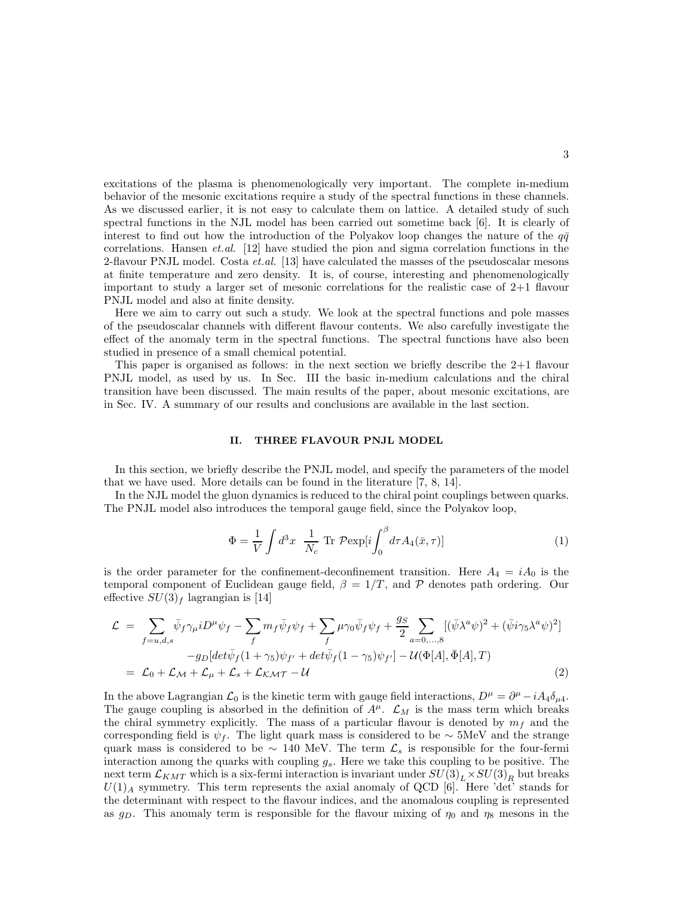excitations of the plasma is phenomenologically very important. The complete in-medium behavior of the mesonic excitations require a study of the spectral functions in these channels. As we discussed earlier, it is not easy to calculate them on lattice. A detailed study of such spectral functions in the NJL model has been carried out sometime back [6]. It is clearly of interest to find out how the introduction of the Polyakov loop changes the nature of the  $q\bar{q}$ correlations. Hansen *et.al.* [12] have studied the pion and sigma correlation functions in the 2-flavour PNJL model. Costa *et.al.* [13] have calculated the masses of the pseudoscalar mesons at finite temperature and zero density. It is, of course, interesting and phenomenologically important to study a larger set of mesonic correlations for the realistic case of  $2+1$  flavour PNJL model and also at finite density.

Here we aim to carry out such a study. We look at the spectral functions and pole masses of the pseudoscalar channels with different flavour contents. We also carefully investigate the effect of the anomaly term in the spectral functions. The spectral functions have also been studied in presence of a small chemical potential.

This paper is organised as follows: in the next section we briefly describe the 2+1 flavour PNJL model, as used by us. In Sec. III the basic in-medium calculations and the chiral transition have been discussed. The main results of the paper, about mesonic excitations, are in Sec. IV. A summary of our results and conclusions are available in the last section.

## II. THREE FLAVOUR PNJL MODEL

In this section, we briefly describe the PNJL model, and specify the parameters of the model that we have used. More details can be found in the literature [7, 8, 14].

In the NJL model the gluon dynamics is reduced to the chiral point couplings between quarks. The PNJL model also introduces the temporal gauge field, since the Polyakov loop,

$$
\Phi = \frac{1}{V} \int d^3x \frac{1}{N_c} \text{Tr } \mathcal{P} \exp[i \int_0^\beta d\tau A_4(\bar{x}, \tau)] \tag{1}
$$

is the order parameter for the confinement-deconfinement transition. Here  $A_4 = iA_0$  is the temporal component of Euclidean gauge field,  $\beta = 1/T$ , and P denotes path ordering. Our effective  $SU(3)_f$  lagrangian is [14]

$$
\mathcal{L} = \sum_{f=u,d,s} \bar{\psi}_f \gamma_\mu i D^\mu \psi_f - \sum_f m_f \bar{\psi}_f \psi_f + \sum_f \mu \gamma_0 \bar{\psi}_f \psi_f + \frac{g_S}{2} \sum_{a=0,...,8} [(\bar{\psi} \lambda^a \psi)^2 + (\bar{\psi} i \gamma_5 \lambda^a \psi)^2]
$$
  
\n
$$
-g_D [det \bar{\psi}_f (1 + \gamma_5) \psi_{f'} + det \bar{\psi}_f (1 - \gamma_5) \psi_{f'}] - \mathcal{U}(\Phi[A], \bar{\Phi}[A], T)
$$
  
\n
$$
= \mathcal{L}_0 + \mathcal{L}_M + \mathcal{L}_\mu + \mathcal{L}_s + \mathcal{L}_{KMT} - \mathcal{U}
$$
\n(2)

In the above Lagrangian  $\mathcal{L}_0$  is the kinetic term with gauge field interactions,  $D^{\mu} = \partial^{\mu} - iA_4\delta_{\mu}$ . The gauge coupling is absorbed in the definition of  $A^{\mu}$ .  $\mathcal{L}_M$  is the mass term which breaks the chiral symmetry explicitly. The mass of a particular flavour is denoted by  $m_f$  and the corresponding field is  $\psi_f$ . The light quark mass is considered to be ∼ 5MeV and the strange quark mass is considered to be  $\sim 140$  MeV. The term  $\mathcal{L}_s$  is responsible for the four-fermi interaction among the quarks with coupling  $g_s$ . Here we take this coupling to be positive. The next term  $\mathcal{L}_{KMT}$  which is a six-fermi interaction is invariant under  $SU(3)_{L} \times SU(3)_{R}$  but breaks  $U(1)_A$  symmetry. This term represents the axial anomaly of QCD [6]. Here 'det' stands for the determinant with respect to the flavour indices, and the anomalous coupling is represented as  $g_D$ . This anomaly term is responsible for the flavour mixing of  $\eta_0$  and  $\eta_8$  mesons in the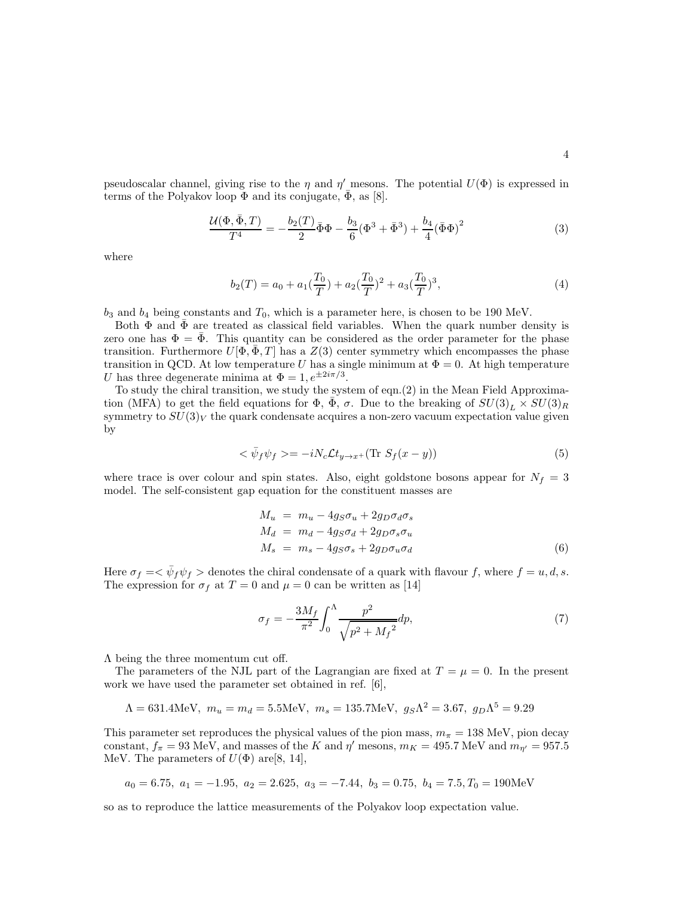4

pseudoscalar channel, giving rise to the  $\eta$  and  $\eta'$  mesons. The potential  $U(\Phi)$  is expressed in terms of the Polyakov loop  $\Phi$  and its conjugate,  $\bar{\Phi}$ , as [8].

$$
\frac{\mathcal{U}(\Phi, \bar{\Phi}, T)}{T^4} = -\frac{b_2(T)}{2} \bar{\Phi}\Phi - \frac{b_3}{6} (\Phi^3 + \bar{\Phi}^3) + \frac{b_4}{4} (\bar{\Phi}\Phi)^2 \tag{3}
$$

where

$$
b_2(T) = a_0 + a_1(\frac{T_0}{T}) + a_2(\frac{T_0}{T})^2 + a_3(\frac{T_0}{T})^3,
$$
\n<sup>(4)</sup>

 $b_3$  and  $b_4$  being constants and  $T_0$ , which is a parameter here, is chosen to be 190 MeV.

Both  $\Phi$  and  $\Phi$  are treated as classical field variables. When the quark number density is zero one has  $\Phi = \bar{\Phi}$ . This quantity can be considered as the order parameter for the phase transition. Furthermore  $U[\Phi, \bar{\Phi}, T]$  has a  $Z(3)$  center symmetry which encompasses the phase transition in QCD. At low temperature U has a single minimum at  $\Phi = 0$ . At high temperature U has three degenerate minima at  $\Phi = 1, e^{\pm 2i\pi/3}$ .

To study the chiral transition, we study the system of eqn.(2) in the Mean Field Approximation (MFA) to get the field equations for  $\Phi$ ,  $\bar{\Phi}$ ,  $\sigma$ . Due to the breaking of  $SU(3)_L \times SU(3)_R$ symmetry to  $SU(3)_V$  the quark condensate acquires a non-zero vacuum expectation value given by

$$
\langle \bar{\psi}_f \psi_f \rangle = -iN_c \mathcal{L} t_{y \to x^+} (\text{Tr } S_f(x - y))
$$
\n<sup>(5)</sup>

where trace is over colour and spin states. Also, eight goldstone bosons appear for  $N_f = 3$ model. The self-consistent gap equation for the constituent masses are

$$
M_u = m_u - 4g_S\sigma_u + 2g_D\sigma_d\sigma_s
$$
  
\n
$$
M_d = m_d - 4g_S\sigma_d + 2g_D\sigma_s\sigma_u
$$
  
\n
$$
M_s = m_s - 4g_S\sigma_s + 2g_D\sigma_u\sigma_d
$$
\n(6)

Here  $\sigma_f = \langle \bar{\psi}_f \psi_f \rangle$  denotes the chiral condensate of a quark with flavour f, where  $f = u, d, s$ . The expression for  $\sigma_f$  at  $T = 0$  and  $\mu = 0$  can be written as [14]

$$
\sigma_f = -\frac{3M_f}{\pi^2} \int_0^{\Lambda} \frac{p^2}{\sqrt{p^2 + {M_f}^2}} dp,\tag{7}
$$

Λ being the three momentum cut off.

The parameters of the NJL part of the Lagrangian are fixed at  $T = \mu = 0$ . In the present work we have used the parameter set obtained in ref. [6],

$$
\Lambda = 631.4
$$
MeV,  $m_u = m_d = 5.5$ MeV,  $m_s = 135.7$ MeV,  $g_S \Lambda^2 = 3.67$ ,  $g_D \Lambda^5 = 9.29$ 

This parameter set reproduces the physical values of the pion mass,  $m_{\pi} = 138$  MeV, pion decay constant,  $f_{\pi} = 93$  MeV, and masses of the K and  $\eta'$  mesons,  $m_K = 495.7$  MeV and  $m_{\eta'} = 957.5$ MeV. The parameters of  $U(\Phi)$  are [8, 14],

$$
a_0 = 6.75
$$
,  $a_1 = -1.95$ ,  $a_2 = 2.625$ ,  $a_3 = -7.44$ ,  $b_3 = 0.75$ ,  $b_4 = 7.5$ ,  $T_0 = 190$ MeV

so as to reproduce the lattice measurements of the Polyakov loop expectation value.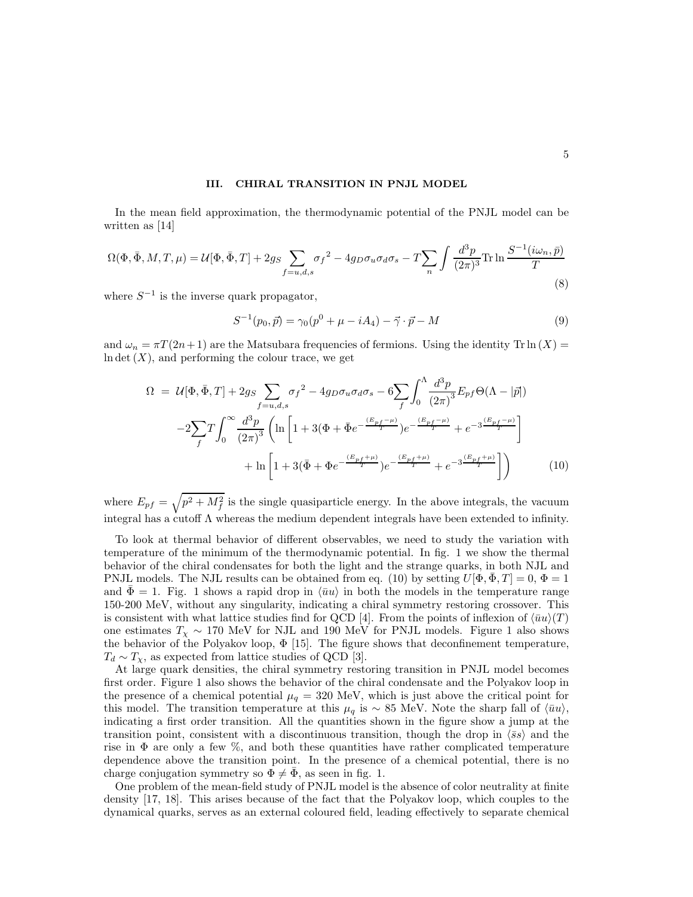## III. CHIRAL TRANSITION IN PNJL MODEL

In the mean field approximation, the thermodynamic potential of the PNJL model can be written as [14]

$$
\Omega(\Phi, \bar{\Phi}, M, T, \mu) = \mathcal{U}[\Phi, \bar{\Phi}, T] + 2g_S \sum_{f=u,d,s} \sigma_f^2 - 4g_D \sigma_u \sigma_d \sigma_s - T \sum_n \int \frac{d^3 p}{(2\pi)^3} \text{Tr} \ln \frac{S^{-1}(i\omega_n, \bar{p})}{T}
$$
\n(8)

where  $S^{-1}$  is the inverse quark propagator,

$$
S^{-1}(p_0, \vec{p}) = \gamma_0(p^0 + \mu - iA_4) - \vec{\gamma} \cdot \vec{p} - M \tag{9}
$$

and  $\omega_n = \pi T(2n+1)$  are the Matsubara frequencies of fermions. Using the identity Tr ln  $(X)$  $\ln \det(X)$ , and performing the colour trace, we get

$$
\Omega = \mathcal{U}[\Phi, \bar{\Phi}, T] + 2g_S \sum_{f=u,d,s} \sigma_f^2 - 4g_D \sigma_u \sigma_d \sigma_s - 6 \sum_f \int_0^{\Lambda} \frac{d^3 p}{(2\pi)^3} E_{pf} \Theta(\Lambda - |\bar{p}|)
$$
  

$$
-2 \sum_f T \int_0^{\infty} \frac{d^3 p}{(2\pi)^3} \left( \ln \left[ 1 + 3(\Phi + \bar{\Phi}e^{-\frac{(E_p f - \mu)}{T}}) e^{-\frac{(E_p f - \mu)}{T}} + e^{-3\frac{(E_p f - \mu)}{T}} \right] + \ln \left[ 1 + 3(\bar{\Phi} + \Phi e^{-\frac{(E_p f + \mu)}{T}}) e^{-\frac{(E_p f + \mu)}{T}} + e^{-3\frac{(E_p f + \mu)}{T}} \right] \right)
$$
(10)

where  $E_{pf} = \sqrt{p^2 + M_f^2}$  is the single quasiparticle energy. In the above integrals, the vacuum integral has a cutoff  $\Lambda$  whereas the medium dependent integrals have been extended to infinity.

To look at thermal behavior of different observables, we need to study the variation with temperature of the minimum of the thermodynamic potential. In fig. 1 we show the thermal behavior of the chiral condensates for both the light and the strange quarks, in both NJL and PNJL models. The NJL results can be obtained from eq. (10) by setting  $U[\Phi, \bar{\Phi}, T] = 0, \Phi = 1$ and  $\Phi = 1$ . Fig. 1 shows a rapid drop in  $\langle \bar{u}u \rangle$  in both the models in the temperature range 150-200 MeV, without any singularity, indicating a chiral symmetry restoring crossover. This is consistent with what lattice studies find for QCD [4]. From the points of inflexion of  $\langle \bar{u}u \rangle(T)$ one estimates  $T_x \sim 170$  MeV for NJL and 190 MeV for PNJL models. Figure 1 also shows the behavior of the Polyakov loop,  $\Phi$  [15]. The figure shows that deconfinement temperature,  $T_d \sim T_\chi$ , as expected from lattice studies of QCD [3].

At large quark densities, the chiral symmetry restoring transition in PNJL model becomes first order. Figure 1 also shows the behavior of the chiral condensate and the Polyakov loop in the presence of a chemical potential  $\mu_q = 320$  MeV, which is just above the critical point for this model. The transition temperature at this  $\mu_q$  is ~ 85 MeV. Note the sharp fall of  $\langle \bar{u}u \rangle$ , indicating a first order transition. All the quantities shown in the figure show a jump at the transition point, consistent with a discontinuous transition, though the drop in  $\langle \bar{s}s \rangle$  and the rise in  $\Phi$  are only a few  $\%$ , and both these quantities have rather complicated temperature dependence above the transition point. In the presence of a chemical potential, there is no charge conjugation symmetry so  $\Phi \neq \Phi$ , as seen in fig. 1.

One problem of the mean-field study of PNJL model is the absence of color neutrality at finite density [17, 18]. This arises because of the fact that the Polyakov loop, which couples to the dynamical quarks, serves as an external coloured field, leading effectively to separate chemical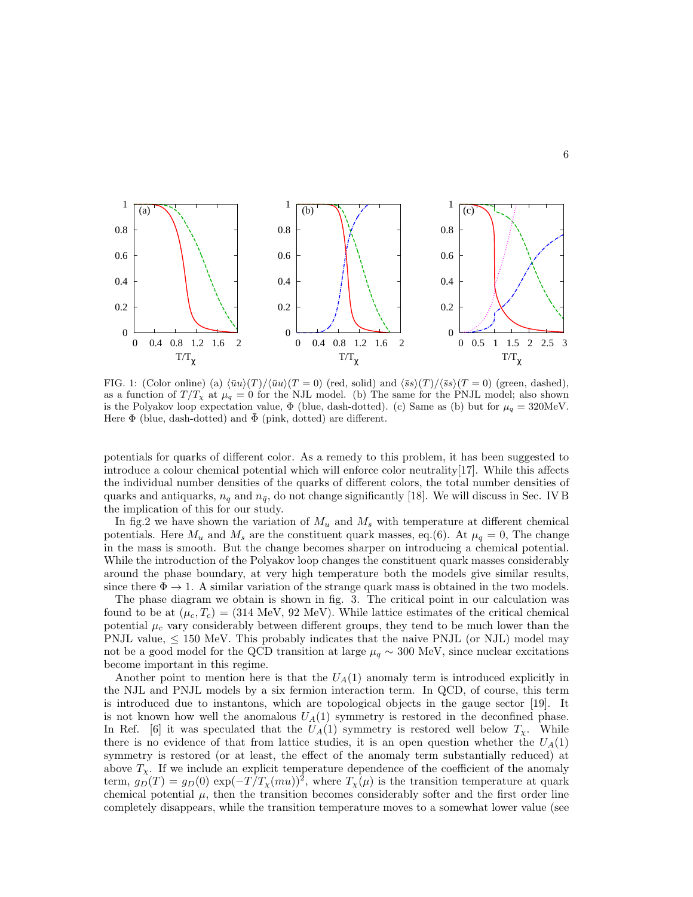

FIG. 1: (Color online) (a)  $\langle \bar{u}u \rangle(T) / \langle \bar{u}u \rangle(T = 0)$  (red, solid) and  $\langle \bar{s}s \rangle(T) / \langle \bar{s}s \rangle(T = 0)$  (green, dashed), as a function of  $T/T_x$  at  $\mu_q = 0$  for the NJL model. (b) The same for the PNJL model; also shown is the Polyakov loop expectation value,  $\Phi$  (blue, dash-dotted). (c) Same as (b) but for  $\mu_q = 320 \text{MeV}$ . Here  $\Phi$  (blue, dash-dotted) and  $\bar{\Phi}$  (pink, dotted) are different.

potentials for quarks of different color. As a remedy to this problem, it has been suggested to introduce a colour chemical potential which will enforce color neutrality[17]. While this affects the individual number densities of the quarks of different colors, the total number densities of quarks and antiquarks,  $n_q$  and  $n_{\bar{q}}$ , do not change significantly [18]. We will discuss in Sec. IV B the implication of this for our study.

In fig.2 we have shown the variation of  $M_u$  and  $M_s$  with temperature at different chemical potentials. Here  $M_u$  and  $M_s$  are the constituent quark masses, eq.(6). At  $\mu_q = 0$ , The change in the mass is smooth. But the change becomes sharper on introducing a chemical potential. While the introduction of the Polyakov loop changes the constituent quark masses considerably around the phase boundary, at very high temperature both the models give similar results, since there  $\Phi \to 1$ . A similar variation of the strange quark mass is obtained in the two models.

The phase diagram we obtain is shown in fig. 3. The critical point in our calculation was found to be at  $(\mu_c, T_c) = (314 \text{ MeV}, 92 \text{ MeV})$ . While lattice estimates of the critical chemical potential  $\mu_c$  vary considerably between different groups, they tend to be much lower than the PNJL value,  $\leq 150$  MeV. This probably indicates that the naive PNJL (or NJL) model may not be a good model for the QCD transition at large  $\mu_q \sim 300 \text{ MeV}$ , since nuclear excitations become important in this regime.

Another point to mention here is that the  $U_A(1)$  anomaly term is introduced explicitly in the NJL and PNJL models by a six fermion interaction term. In QCD, of course, this term is introduced due to instantons, which are topological objects in the gauge sector [19]. It is not known how well the anomalous  $U_A(1)$  symmetry is restored in the deconfined phase. In Ref. [6] it was speculated that the  $U_A(1)$  symmetry is restored well below  $T_\chi$ . While there is no evidence of that from lattice studies, it is an open question whether the  $U_A(1)$ symmetry is restored (or at least, the effect of the anomaly term substantially reduced) at above  $T_{\chi}$ . If we include an explicit temperature dependence of the coefficient of the anomaly term,  $g_D(T) = g_D(0) \exp(-T/T_x(mu))^2$ , where  $T_x(\mu)$  is the transition temperature at quark chemical potential  $\mu$ , then the transition becomes considerably softer and the first order line completely disappears, while the transition temperature moves to a somewhat lower value (see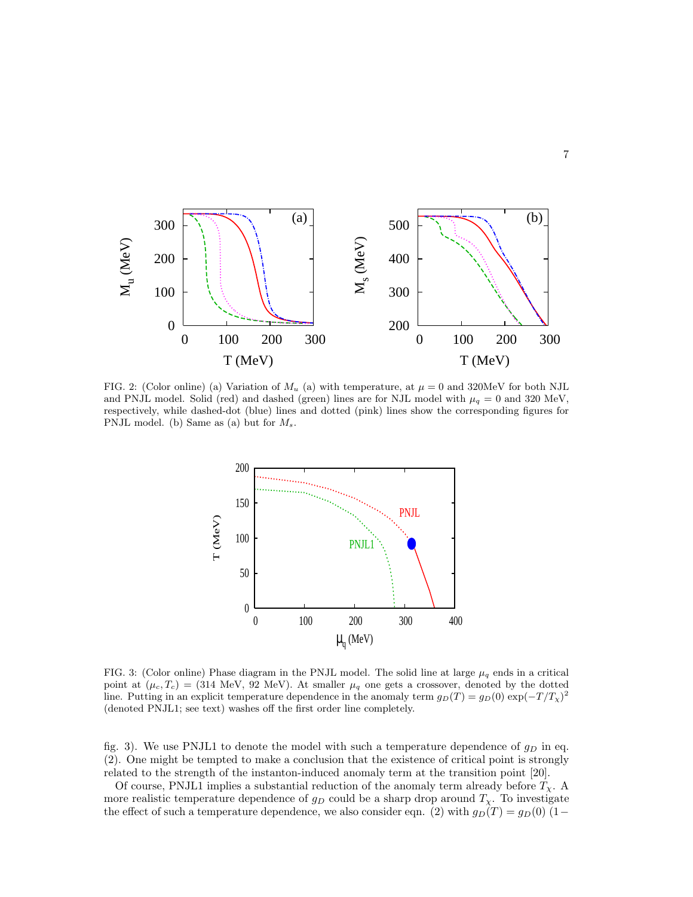

FIG. 2: (Color online) (a) Variation of  $M_u$  (a) with temperature, at  $\mu = 0$  and 320MeV for both NJL and PNJL model. Solid (red) and dashed (green) lines are for NJL model with  $\mu_q = 0$  and 320 MeV, respectively, while dashed-dot (blue) lines and dotted (pink) lines show the corresponding figures for PNJL model. (b) Same as (a) but for  $M_s$ .



FIG. 3: (Color online) Phase diagram in the PNJL model. The solid line at large  $\mu_q$  ends in a critical point at  $(\mu_c, T_c) = (314 \text{ MeV}, 92 \text{ MeV})$ . At smaller  $\mu_q$  one gets a crossover, denoted by the dotted line. Putting in an explicit temperature dependence in the anomaly term  $g_D(T) = g_D(0) \exp(-T/T_x)^2$ (denoted PNJL1; see text) washes off the first order line completely.

fig. 3). We use PNJL1 to denote the model with such a temperature dependence of  $g_D$  in eq. (2). One might be tempted to make a conclusion that the existence of critical point is strongly related to the strength of the instanton-induced anomaly term at the transition point [20].

Of course, PNJL1 implies a substantial reduction of the anomaly term already before  $T_{\chi}$ . A more realistic temperature dependence of  $g_D$  could be a sharp drop around  $T_\chi$ . To investigate the effect of such a temperature dependence, we also consider eqn. (2) with  $g_D(T) = g_D(0)$  (1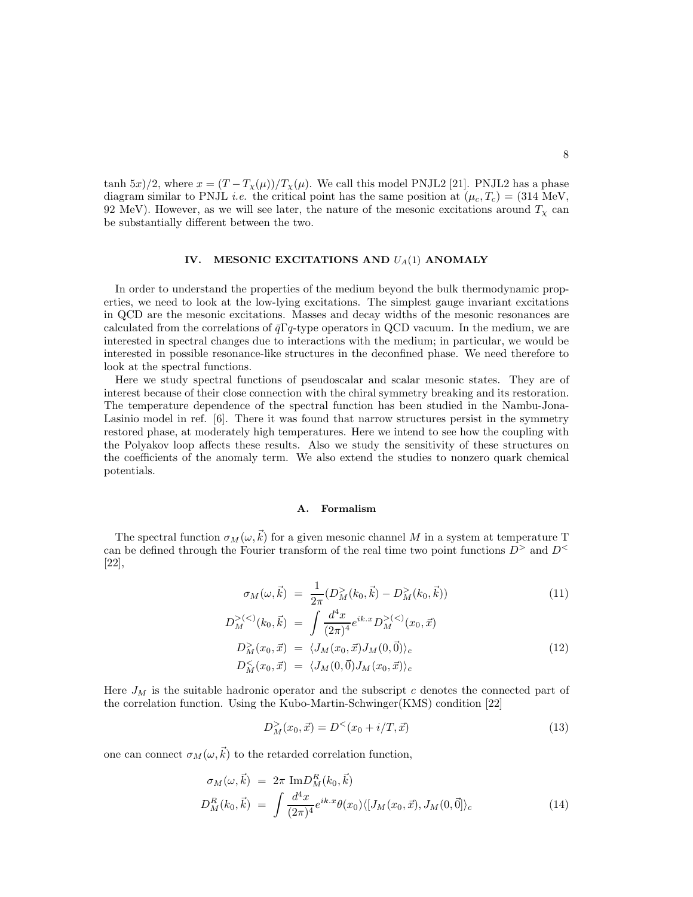tanh  $5x/2$ , where  $x = (T - T_{\chi}(\mu))/T_{\chi}(\mu)$ . We call this model PNJL2 [21]. PNJL2 has a phase diagram similar to PNJL *i.e.* the critical point has the same position at  $(\mu_c, T_c) = (314 \text{ MeV},$ 92 MeV). However, as we will see later, the nature of the mesonic excitations around  $T_{\chi}$  can be substantially different between the two.

# IV. MESONIC EXCITATIONS AND  $U_A(1)$  ANOMALY

In order to understand the properties of the medium beyond the bulk thermodynamic properties, we need to look at the low-lying excitations. The simplest gauge invariant excitations in QCD are the mesonic excitations. Masses and decay widths of the mesonic resonances are calculated from the correlations of  $\bar{q}\Gamma q$ -type operators in QCD vacuum. In the medium, we are interested in spectral changes due to interactions with the medium; in particular, we would be interested in possible resonance-like structures in the deconfined phase. We need therefore to look at the spectral functions.

Here we study spectral functions of pseudoscalar and scalar mesonic states. They are of interest because of their close connection with the chiral symmetry breaking and its restoration. The temperature dependence of the spectral function has been studied in the Nambu-Jona-Lasinio model in ref. [6]. There it was found that narrow structures persist in the symmetry restored phase, at moderately high temperatures. Here we intend to see how the coupling with the Polyakov loop affects these results. Also we study the sensitivity of these structures on the coefficients of the anomaly term. We also extend the studies to nonzero quark chemical potentials.

## A. Formalism

The spectral function  $\sigma_M(\omega, \vec{k})$  for a given mesonic channel M in a system at temperature T can be defined through the Fourier transform of the real time two point functions  $D^>$  and  $D^<$ [22],

$$
\sigma_M(\omega, \vec{k}) = \frac{1}{2\pi} (D_M^>(k_0, \vec{k}) - D_M^>(k_0, \vec{k})) \tag{11}
$$

$$
D_M^{>(<)}(k_0, \vec{k}) = \int \frac{d^4x}{(2\pi)^4} e^{ik.x} D_M^{>(<)}(x_0, \vec{x})
$$
  
\n
$$
D_M^{>(x_0, \vec{x})} = \langle J_M(x_0, \vec{x}) J_M(0, \vec{0}) \rangle_c
$$
  
\n
$$
D_M^{( $x_0, \vec{x}$ )} = \langle J_M(0, \vec{0}) J_M(x_0, \vec{x}) \rangle_c
$$
\n(12)

Here  $J_M$  is the suitable hadronic operator and the subscript c denotes the connected part of the correlation function. Using the Kubo-Martin-Schwinger(KMS) condition [22]

$$
D_M^>(x_0, \vec{x}) = D^\n(13)
$$

one can connect  $\sigma_M(\omega,\vec{k})$  to the retarded correlation function,

$$
\sigma_M(\omega, \vec{k}) = 2\pi \operatorname{Im} D_M^R(k_0, \vec{k}) \nD_M^R(k_0, \vec{k}) = \int \frac{d^4x}{(2\pi)^4} e^{ik.x} \theta(x_0) \langle [J_M(x_0, \vec{x}), J_M(0, \vec{0}]) \rangle_c
$$
\n(14)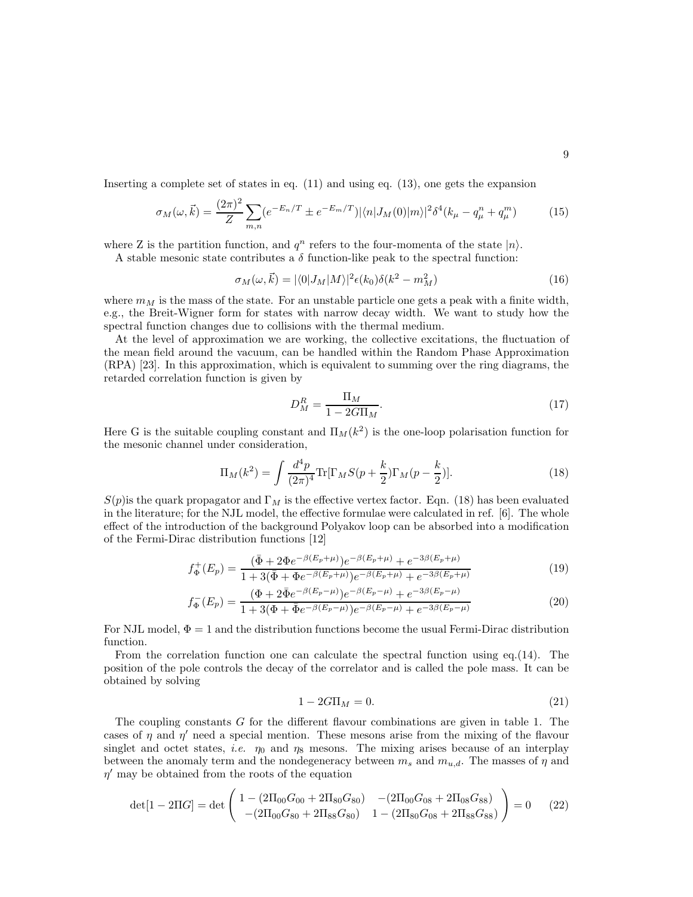Inserting a complete set of states in eq. (11) and using eq. (13), one gets the expansion

$$
\sigma_M(\omega, \vec{k}) = \frac{(2\pi)^2}{Z} \sum_{m,n} (e^{-E_n/T} \pm e^{-E_m/T}) |\langle n| J_M(0)|m\rangle|^2 \delta^4(k_\mu - q_\mu^n + q_\mu^m)
$$
(15)

where Z is the partition function, and  $q^n$  refers to the four-momenta of the state  $|n\rangle$ .

A stable mesonic state contributes a  $\delta$  function-like peak to the spectral function:

$$
\sigma_M(\omega, \vec{k}) = |\langle 0|J_M|M \rangle|^2 \epsilon(k_0) \delta(k^2 - m_M^2)
$$
\n(16)

where  $m_M$  is the mass of the state. For an unstable particle one gets a peak with a finite width, e.g., the Breit-Wigner form for states with narrow decay width. We want to study how the spectral function changes due to collisions with the thermal medium.

At the level of approximation we are working, the collective excitations, the fluctuation of the mean field around the vacuum, can be handled within the Random Phase Approximation (RPA) [23]. In this approximation, which is equivalent to summing over the ring diagrams, the retarded correlation function is given by

$$
D_M^R = \frac{\Pi_M}{1 - 2G\Pi_M}.\tag{17}
$$

Here G is the suitable coupling constant and  $\Pi_M(k^2)$  is the one-loop polarisation function for the mesonic channel under consideration,

$$
\Pi_M(k^2) = \int \frac{d^4p}{(2\pi)^4} \text{Tr}[\Gamma_M S(p + \frac{k}{2}) \Gamma_M(p - \frac{k}{2})]. \tag{18}
$$

 $S(p)$  is the quark propagator and  $\Gamma_M$  is the effective vertex factor. Eqn. (18) has been evaluated in the literature; for the NJL model, the effective formulae were calculated in ref. [6]. The whole effect of the introduction of the background Polyakov loop can be absorbed into a modification of the Fermi-Dirac distribution functions [12]

$$
f_{\Phi}^{+}(E_p) = \frac{(\bar{\Phi} + 2\Phi e^{-\beta(E_p + \mu)})e^{-\beta(E_p + \mu)} + e^{-3\beta(E_p + \mu)}}{1 + 3(\bar{\Phi} + \Phi e^{-\beta(E_p + \mu)})e^{-\beta(E_p + \mu)} + e^{-3\beta(E_p + \mu)}}
$$
(19)

$$
f_{\Phi}^-(E_p) = \frac{(\Phi + 2\bar{\Phi}e^{-\beta(E_p - \mu)})e^{-\beta(E_p - \mu)} + e^{-3\beta(E_p - \mu)}}{1 + 3(\Phi + \bar{\Phi}e^{-\beta(E_p - \mu)})e^{-\beta(E_p - \mu)} + e^{-3\beta(E_p - \mu)}}
$$
(20)

For NJL model,  $\Phi = 1$  and the distribution functions become the usual Fermi-Dirac distribution function.

From the correlation function one can calculate the spectral function using eq.(14). The position of the pole controls the decay of the correlator and is called the pole mass. It can be obtained by solving

$$
1 - 2G\Pi_M = 0.\t(21)
$$

The coupling constants G for the different flavour combinations are given in table 1. The cases of  $\eta$  and  $\eta'$  need a special mention. These mesons arise from the mixing of the flavour singlet and octet states, *i.e.*  $\eta_0$  and  $\eta_8$  mesons. The mixing arises because of an interplay between the anomaly term and the nondegeneracy between  $m_s$  and  $m_{u,d}$ . The masses of  $\eta$  and  $\eta'$  may be obtained from the roots of the equation

$$
\det[1 - 2\Pi G] = \det \begin{pmatrix} 1 - (2\Pi_{00}G_{00} + 2\Pi_{80}G_{80}) & -(2\Pi_{00}G_{08} + 2\Pi_{08}G_{88}) \\ -(2\Pi_{00}G_{80} + 2\Pi_{88}G_{80}) & 1 - (2\Pi_{80}G_{08} + 2\Pi_{88}G_{88}) \end{pmatrix} = 0
$$
 (22)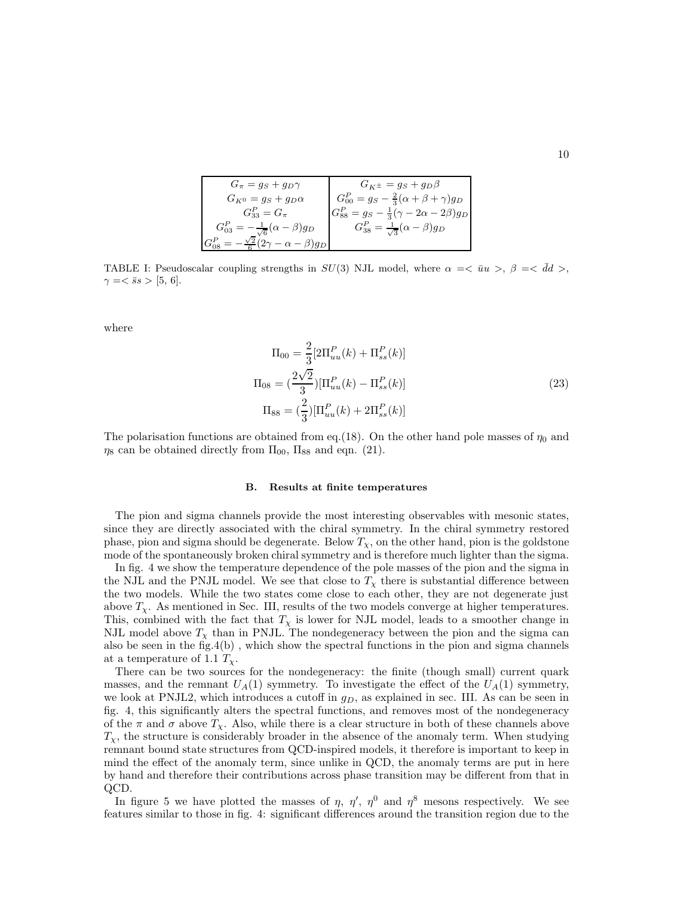$$
G_{\pi} = g_S + g_D \gamma
$$
  
\n
$$
G_{K^0} = g_S + g_D \alpha
$$
  
\n
$$
G_{B^3}^P = G_{\pi}
$$
  
\n
$$
G_{B^3}^P = G_{\pi}
$$
  
\n
$$
G_{B^3}^P = -\frac{1}{\sqrt{6}}(\alpha - \beta)g_D
$$
  
\n
$$
G_{B^3}^P = -\frac{\sqrt{6}}{2}(2\gamma - \alpha - \beta)g_D
$$
  
\n
$$
G_{B^3}^P = \frac{1}{\sqrt{3}}(\alpha - \beta)g_D
$$
  
\n
$$
G_{B^3}^P = \frac{1}{\sqrt{3}}(\alpha - \beta)g_D
$$

TABLE I: Pseudoscalar coupling strengths in  $SU(3)$  NJL model, where  $\alpha = \langle \bar{u}u \rangle$ ,  $\beta = \langle \bar{d}d \rangle$ ,  $\gamma = <\bar{s}s > [5, 6].$ 

where

$$
\Pi_{00} = \frac{2}{3} [2\Pi_{uu}^P(k) + \Pi_{ss}^P(k)]
$$
  
\n
$$
\Pi_{08} = \left(\frac{2\sqrt{2}}{3}\right) [\Pi_{uu}^P(k) - \Pi_{ss}^P(k)]
$$
  
\n
$$
\Pi_{88} = \left(\frac{2}{3}\right) [\Pi_{uu}^P(k) + 2\Pi_{ss}^P(k)]
$$
\n(23)

The polarisation functions are obtained from eq.(18). On the other hand pole masses of  $\eta_0$  and  $\eta_8$  can be obtained directly from  $\Pi_{00}$ ,  $\Pi_{88}$  and eqn. (21).

#### B. Results at finite temperatures

The pion and sigma channels provide the most interesting observables with mesonic states, since they are directly associated with the chiral symmetry. In the chiral symmetry restored phase, pion and sigma should be degenerate. Below  $T_{\chi}$ , on the other hand, pion is the goldstone mode of the spontaneously broken chiral symmetry and is therefore much lighter than the sigma.

In fig. 4 we show the temperature dependence of the pole masses of the pion and the sigma in the NJL and the PNJL model. We see that close to  $T<sub>x</sub>$  there is substantial difference between the two models. While the two states come close to each other, they are not degenerate just above  $T_\chi$ . As mentioned in Sec. III, results of the two models converge at higher temperatures. This, combined with the fact that  $T_{\chi}$  is lower for NJL model, leads to a smoother change in NJL model above  $T_{\chi}$  than in PNJL. The nondegeneracy between the pion and the sigma can also be seen in the fig.4(b) , which show the spectral functions in the pion and sigma channels at a temperature of 1.1  $T_{\chi}$ .

There can be two sources for the nondegeneracy: the finite (though small) current quark masses, and the remnant  $U_A(1)$  symmetry. To investigate the effect of the  $U_A(1)$  symmetry, we look at PNJL2, which introduces a cutoff in  $g_D$ , as explained in sec. III. As can be seen in fig. 4, this significantly alters the spectral functions, and removes most of the nondegeneracy of the  $\pi$  and  $\sigma$  above  $T_\chi$ . Also, while there is a clear structure in both of these channels above  $T_{\chi}$ , the structure is considerably broader in the absence of the anomaly term. When studying remnant bound state structures from QCD-inspired models, it therefore is important to keep in mind the effect of the anomaly term, since unlike in QCD, the anomaly terms are put in here by hand and therefore their contributions across phase transition may be different from that in QCD.

In figure 5 we have plotted the masses of  $\eta$ ,  $\eta'$ ,  $\eta^0$  and  $\eta^8$  mesons respectively. We see features similar to those in fig. 4: significant differences around the transition region due to the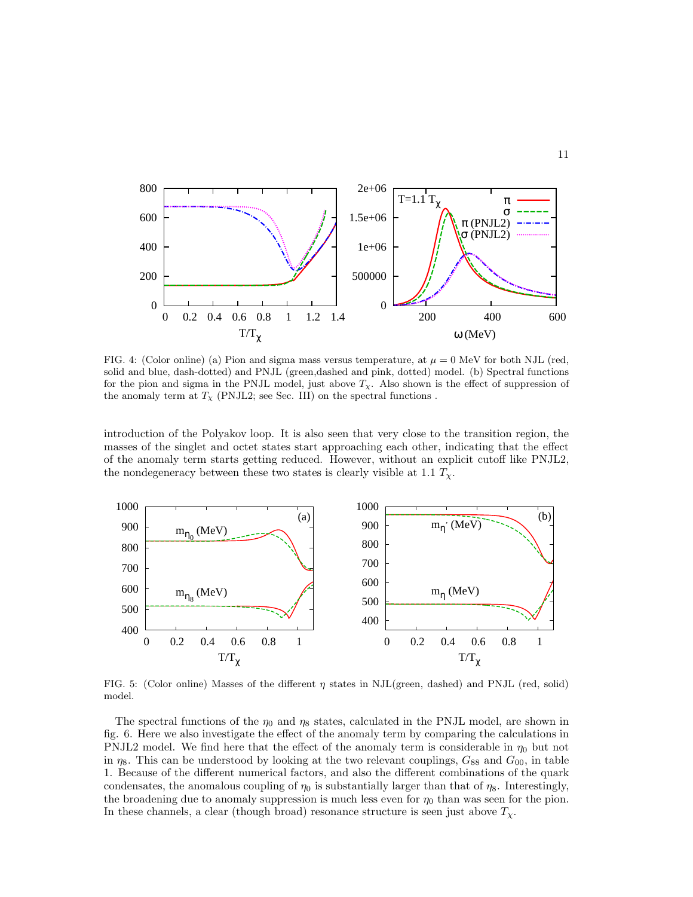

FIG. 4: (Color online) (a) Pion and sigma mass versus temperature, at  $\mu = 0$  MeV for both NJL (red, solid and blue, dash-dotted) and PNJL (green,dashed and pink, dotted) model. (b) Spectral functions for the pion and sigma in the PNJL model, just above  $T<sub>x</sub>$ . Also shown is the effect of suppression of the anomaly term at  $T_{\chi}$  (PNJL2; see Sec. III) on the spectral functions.

introduction of the Polyakov loop. It is also seen that very close to the transition region, the masses of the singlet and octet states start approaching each other, indicating that the effect of the anomaly term starts getting reduced. However, without an explicit cutoff like PNJL2, the nondegeneracy between these two states is clearly visible at 1.1  $T_{\chi}$ .



FIG. 5: (Color online) Masses of the different η states in NJL(green, dashed) and PNJL (red, solid) model.

The spectral functions of the  $\eta_0$  and  $\eta_8$  states, calculated in the PNJL model, are shown in fig. 6. Here we also investigate the effect of the anomaly term by comparing the calculations in PNJL2 model. We find here that the effect of the anomaly term is considerable in  $\eta_0$  but not in  $\eta_8$ . This can be understood by looking at the two relevant couplings,  $G_{88}$  and  $G_{00}$ , in table 1. Because of the different numerical factors, and also the different combinations of the quark condensates, the anomalous coupling of  $\eta_0$  is substantially larger than that of  $\eta_8$ . Interestingly, the broadening due to anomaly suppression is much less even for  $\eta_0$  than was seen for the pion. In these channels, a clear (though broad) resonance structure is seen just above  $T_{\chi}$ .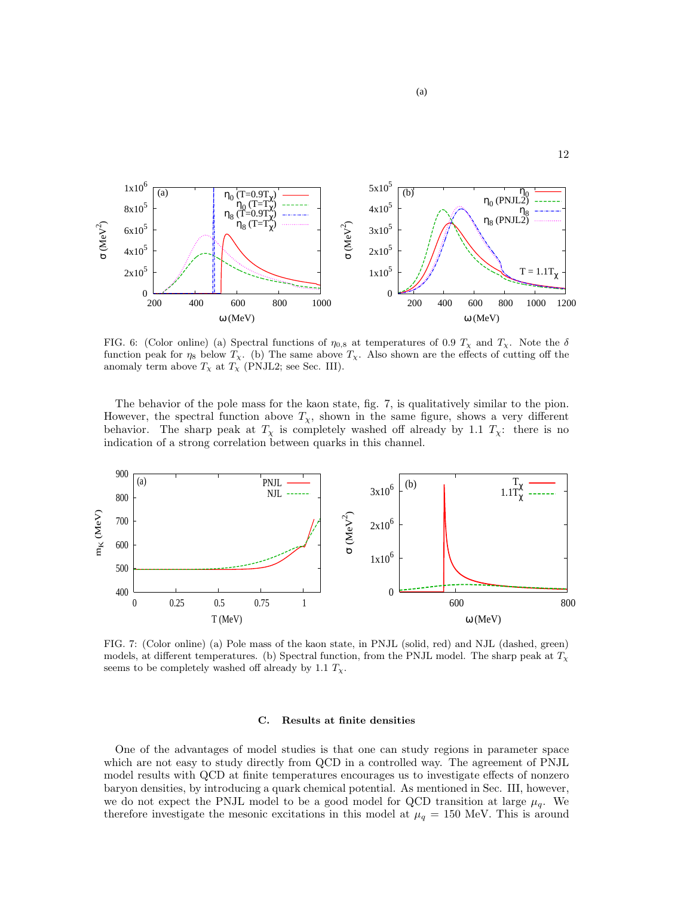

FIG. 6: (Color online) (a) Spectral functions of  $\eta_{0,8}$  at temperatures of 0.9  $T_{\chi}$  and  $T_{\chi}$ . Note the  $\delta$ function peak for  $\eta_8$  below  $T_\chi$ . (b) The same above  $T_\chi$ . Also shown are the effects of cutting off the anomaly term above  $T_x$  at  $T_x$  (PNJL2; see Sec. III).

The behavior of the pole mass for the kaon state, fig. 7, is qualitatively similar to the pion. However, the spectral function above  $T_{\chi}$ , shown in the same figure, shows a very different behavior. The sharp peak at  $T_{\chi}$  is completely washed off already by 1.1  $T_{\chi}$ : there is no indication of a strong correlation between quarks in this channel.



FIG. 7: (Color online) (a) Pole mass of the kaon state, in PNJL (solid, red) and NJL (dashed, green) models, at different temperatures. (b) Spectral function, from the PNJL model. The sharp peak at  $T_{\chi}$ seems to be completely washed off already by 1.1  $T_{\chi}$ .

#### C. Results at finite densities

One of the advantages of model studies is that one can study regions in parameter space which are not easy to study directly from QCD in a controlled way. The agreement of PNJL model results with QCD at finite temperatures encourages us to investigate effects of nonzero baryon densities, by introducing a quark chemical potential. As mentioned in Sec. III, however, we do not expect the PNJL model to be a good model for QCD transition at large  $\mu_q$ . We therefore investigate the mesonic excitations in this model at  $\mu_q = 150$  MeV. This is around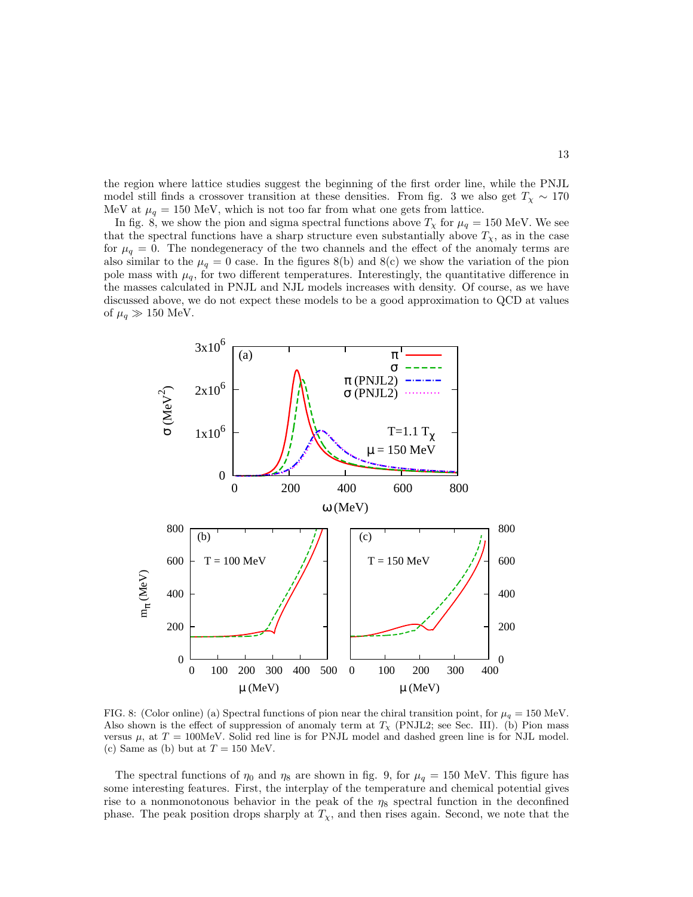the region where lattice studies suggest the beginning of the first order line, while the PNJL model still finds a crossover transition at these densities. From fig. 3 we also get  $T<sub>X</sub> \sim 170$ MeV at  $\mu_q = 150$  MeV, which is not too far from what one gets from lattice.

In fig. 8, we show the pion and sigma spectral functions above  $T_{\chi}$  for  $\mu_q = 150$  MeV. We see that the spectral functions have a sharp structure even substantially above  $T_{\chi}$ , as in the case for  $\mu_q = 0$ . The nondegeneracy of the two channels and the effect of the anomaly terms are also similar to the  $\mu_q = 0$  case. In the figures 8(b) and 8(c) we show the variation of the pion pole mass with  $\mu_q$ , for two different temperatures. Interestingly, the quantitative difference in the masses calculated in PNJL and NJL models increases with density. Of course, as we have discussed above, we do not expect these models to be a good approximation to QCD at values of  $\mu_q \gg 150$  MeV.



FIG. 8: (Color online) (a) Spectral functions of pion near the chiral transition point, for  $\mu_q = 150$  MeV. Also shown is the effect of suppression of anomaly term at  $T<sub>x</sub>$  (PNJL2; see Sec. III). (b) Pion mass versus  $\mu$ , at  $T = 100$ MeV. Solid red line is for PNJL model and dashed green line is for NJL model. (c) Same as (b) but at  $T = 150$  MeV.

The spectral functions of  $\eta_0$  and  $\eta_8$  are shown in fig. 9, for  $\mu_q = 150$  MeV. This figure has some interesting features. First, the interplay of the temperature and chemical potential gives rise to a nonmonotonous behavior in the peak of the  $\eta_8$  spectral function in the deconfined phase. The peak position drops sharply at  $T_{\chi}$ , and then rises again. Second, we note that the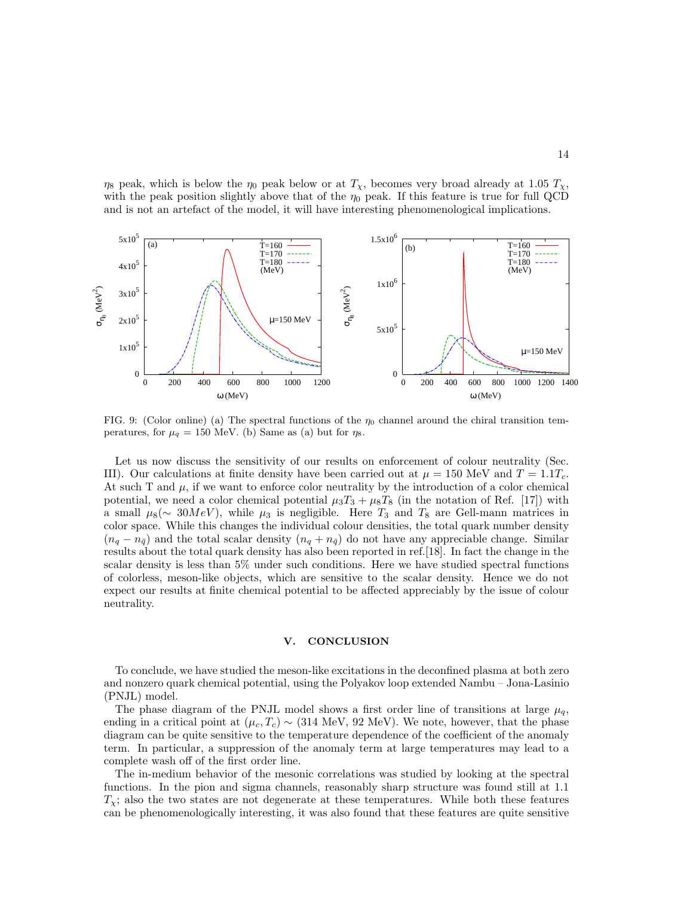$\eta_8$  peak, which is below the  $\eta_0$  peak below or at  $T_\chi$ , becomes very broad already at 1.05  $T_\chi$ , with the peak position slightly above that of the  $\eta_0$  peak. If this feature is true for full QCD and is not an artefact of the model, it will have interesting phenomenological implications.



FIG. 9: (Color online) (a) The spectral functions of the  $\eta_0$  channel around the chiral transition temperatures, for  $\mu_q = 150$  MeV. (b) Same as (a) but for  $\eta_8$ .

Let us now discuss the sensitivity of our results on enforcement of colour neutrality (Sec. III). Our calculations at finite density have been carried out at  $\mu = 150$  MeV and  $T = 1.1T_c$ . At such T and  $\mu$ , if we want to enforce color neutrality by the introduction of a color chemical potential, we need a color chemical potential  $\mu_3T_3 + \mu_8T_8$  (in the notation of Ref. [17]) with a small  $\mu_8(\sim 30 MeV)$ , while  $\mu_3$  is negligible. Here  $T_3$  and  $T_8$  are Gell-mann matrices in color space. While this changes the individual colour densities, the total quark number density  $(n_q - n_{\bar{q}})$  and the total scalar density  $(n_q + n_{\bar{q}})$  do not have any appreciable change. Similar results about the total quark density has also been reported in ref.[18]. In fact the change in the scalar density is less than 5% under such conditions. Here we have studied spectral functions of colorless, meson-like objects, which are sensitive to the scalar density. Hence we do not expect our results at finite chemical potential to be affected appreciably by the issue of colour neutrality.

## V. CONCLUSION

To conclude, we have studied the meson-like excitations in the deconfined plasma at both zero and nonzero quark chemical potential, using the Polyakov loop extended Nambu – Jona-Lasinio (PNJL) model.

The phase diagram of the PNJL model shows a first order line of transitions at large  $\mu_q$ , ending in a critical point at  $(\mu_c, T_c) \sim (314 \text{ MeV}, 92 \text{ MeV})$ . We note, however, that the phase diagram can be quite sensitive to the temperature dependence of the coefficient of the anomaly term. In particular, a suppression of the anomaly term at large temperatures may lead to a complete wash off of the first order line.

The in-medium behavior of the mesonic correlations was studied by looking at the spectral functions. In the pion and sigma channels, reasonably sharp structure was found still at 1.1  $T_{\rm x}$ ; also the two states are not degenerate at these temperatures. While both these features can be phenomenologically interesting, it was also found that these features are quite sensitive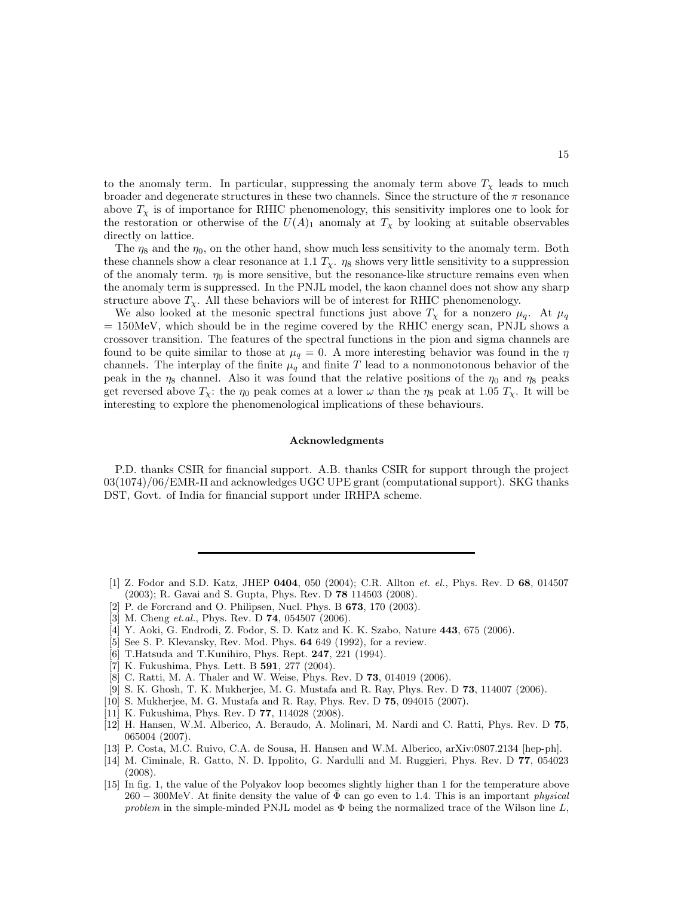to the anomaly term. In particular, suppressing the anomaly term above  $T<sub>x</sub>$  leads to much broader and degenerate structures in these two channels. Since the structure of the  $\pi$  resonance above  $T<sub>X</sub>$  is of importance for RHIC phenomenology, this sensitivity implores one to look for the restoration or otherwise of the  $U(A)_1$  anomaly at  $T_\chi$  by looking at suitable observables directly on lattice.

The  $\eta_8$  and the  $\eta_0$ , on the other hand, show much less sensitivity to the anomaly term. Both these channels show a clear resonance at 1.1  $T_{\chi}$ .  $\eta_8$  shows very little sensitivity to a suppression of the anomaly term.  $\eta_0$  is more sensitive, but the resonance-like structure remains even when the anomaly term is suppressed. In the PNJL model, the kaon channel does not show any sharp structure above  $T_{\chi}$ . All these behaviors will be of interest for RHIC phenomenology.

We also looked at the mesonic spectral functions just above  $T_\chi$  for a nonzero  $\mu_q$ . At  $\mu_q$  $= 150$ MeV, which should be in the regime covered by the RHIC energy scan, PNJL shows a crossover transition. The features of the spectral functions in the pion and sigma channels are found to be quite similar to those at  $\mu_q = 0$ . A more interesting behavior was found in the  $\eta$ channels. The interplay of the finite  $\mu_q$  and finite T lead to a nonmonotonous behavior of the peak in the  $\eta_8$  channel. Also it was found that the relative positions of the  $\eta_0$  and  $\eta_8$  peaks get reversed above  $T_{\chi}$ : the  $\eta_0$  peak comes at a lower  $\omega$  than the  $\eta_8$  peak at 1.05  $T_{\chi}$ . It will be interesting to explore the phenomenological implications of these behaviours.

## Acknowledgments

P.D. thanks CSIR for financial support. A.B. thanks CSIR for support through the project 03(1074)/06/EMR-II and acknowledges UGC UPE grant (computational support). SKG thanks DST, Govt. of India for financial support under IRHPA scheme.

- [1] Z. Fodor and S.D. Katz, JHEP 0404, 050 (2004); C.R. Allton et. el., Phys. Rev. D 68, 014507 (2003); R. Gavai and S. Gupta, Phys. Rev. D 78 114503 (2008).
- [2] P. de Forcrand and O. Philipsen, Nucl. Phys. B 673, 170 (2003).
- [3] M. Cheng *et.al.*, Phys. Rev. D **74**, 054507 (2006).
- [4] Y. Aoki, G. Endrodi, Z. Fodor, S. D. Katz and K. K. Szabo, Nature 443, 675 (2006).
- [5] See S. P. Klevansky, Rev. Mod. Phys. 64 649 (1992), for a review.
- [6] T.Hatsuda and T.Kunihiro, Phys. Rept. 247, 221 (1994).
- [7] K. Fukushima, Phys. Lett. B 591, 277 (2004).
- [8] C. Ratti, M. A. Thaler and W. Weise, Phys. Rev. D 73, 014019 (2006).
- [9] S. K. Ghosh, T. K. Mukherjee, M. G. Mustafa and R. Ray, Phys. Rev. D 73, 114007 (2006).
- [10] S. Mukherjee, M. G. Mustafa and R. Ray, Phys. Rev. D 75, 094015 (2007).
- [11] K. Fukushima, Phys. Rev. D 77, 114028 (2008).
- [12] H. Hansen, W.M. Alberico, A. Beraudo, A. Molinari, M. Nardi and C. Ratti, Phys. Rev. D 75, 065004 (2007).
- [13] P. Costa, M.C. Ruivo, C.A. de Sousa, H. Hansen and W.M. Alberico, arXiv:0807.2134 [hep-ph].
- [14] M. Ciminale, R. Gatto, N. D. Ippolito, G. Nardulli and M. Ruggieri, Phys. Rev. D 77, 054023 (2008).
- [15] In fig. 1, the value of the Polyakov loop becomes slightly higher than 1 for the temperature above 260 – 300MeV. At finite density the value of  $\bar{\Phi}$  can go even to 1.4. This is an important *physical* problem in the simple-minded PNJL model as  $\Phi$  being the normalized trace of the Wilson line L,